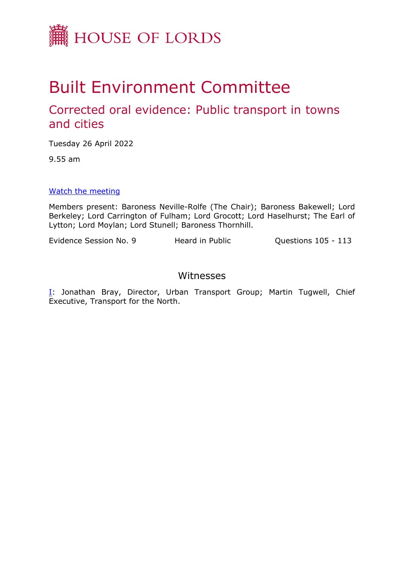

# Built Environment Committee

# Corrected oral evidence: Public transport in towns and cities

Tuesday 26 April 2022

9.55 am

#### [Watch](https://parliamentlive.tv/event/index/7287c6c9-41f9-44df-9bbe-49151446533d) [the](https://parliamentlive.tv/event/index/7287c6c9-41f9-44df-9bbe-49151446533d) [meeting](https://parliamentlive.tv/event/index/7287c6c9-41f9-44df-9bbe-49151446533d)

Members present: Baroness Neville-Rolfe (The Chair); Baroness Bakewell; Lord Berkeley; Lord Carrington of Fulham; Lord Grocott; Lord Haselhurst; The Earl of Lytton; Lord Moylan; Lord Stunell; Baroness Thornhill.

Evidence Session No. 9 Heard in Public Puestions 105 - 113

## Witnesses

[I:](#page-1-0) Jonathan Bray, Director, Urban Transport Group; Martin Tugwell, Chief Executive, Transport for the North.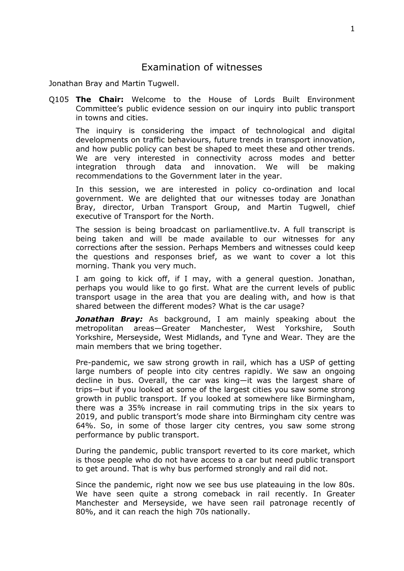## <span id="page-1-0"></span>Examination of witnesses

Jonathan Bray and Martin Tugwell.

Q105 **The Chair:** Welcome to the House of Lords Built Environment Committee's public evidence session on our inquiry into public transport in towns and cities.

The inquiry is considering the impact of technological and digital developments on traffic behaviours, future trends in transport innovation, and how public policy can best be shaped to meet these and other trends. We are very interested in connectivity across modes and better integration through data and innovation. We will be making recommendations to the Government later in the year.

In this session, we are interested in policy co-ordination and local government. We are delighted that our witnesses today are Jonathan Bray, director, Urban Transport Group, and Martin Tugwell, chief executive of Transport for the North.

The session is being broadcast on parliamentlive.tv. A full transcript is being taken and will be made available to our witnesses for any corrections after the session. Perhaps Members and witnesses could keep the questions and responses brief, as we want to cover a lot this morning. Thank you very much.

I am going to kick off, if I may, with a general question. Jonathan, perhaps you would like to go first. What are the current levels of public transport usage in the area that you are dealing with, and how is that shared between the different modes? What is the car usage?

*Jonathan Bray:* As background, I am mainly speaking about the metropolitan areas—Greater Manchester, West Yorkshire, South Yorkshire, Merseyside, West Midlands, and Tyne and Wear. They are the main members that we bring together.

Pre-pandemic, we saw strong growth in rail, which has a USP of getting large numbers of people into city centres rapidly. We saw an ongoing decline in bus. Overall, the car was king—it was the largest share of trips—but if you looked at some of the largest cities you saw some strong growth in public transport. If you looked at somewhere like Birmingham, there was a 35% increase in rail commuting trips in the six years to 2019, and public transport's mode share into Birmingham city centre was 64%. So, in some of those larger city centres, you saw some strong performance by public transport.

During the pandemic, public transport reverted to its core market, which is those people who do not have access to a car but need public transport to get around. That is why bus performed strongly and rail did not.

Since the pandemic, right now we see bus use plateauing in the low 80s. We have seen quite a strong comeback in rail recently. In Greater Manchester and Merseyside, we have seen rail patronage recently of 80%, and it can reach the high 70s nationally.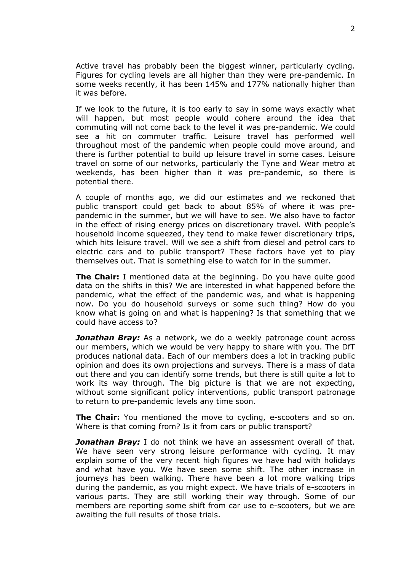Active travel has probably been the biggest winner, particularly cycling. Figures for cycling levels are all higher than they were pre-pandemic. In some weeks recently, it has been 145% and 177% nationally higher than it was before.

If we look to the future, it is too early to say in some ways exactly what will happen, but most people would cohere around the idea that commuting will not come back to the level it was pre-pandemic. We could see a hit on commuter traffic. Leisure travel has performed well throughout most of the pandemic when people could move around, and there is further potential to build up leisure travel in some cases. Leisure travel on some of our networks, particularly the Tyne and Wear metro at weekends, has been higher than it was pre-pandemic, so there is potential there.

A couple of months ago, we did our estimates and we reckoned that public transport could get back to about 85% of where it was prepandemic in the summer, but we will have to see. We also have to factor in the effect of rising energy prices on discretionary travel. With people's household income squeezed, they tend to make fewer discretionary trips, which hits leisure travel. Will we see a shift from diesel and petrol cars to electric cars and to public transport? These factors have yet to play themselves out. That is something else to watch for in the summer.

**The Chair:** I mentioned data at the beginning. Do you have quite good data on the shifts in this? We are interested in what happened before the pandemic, what the effect of the pandemic was, and what is happening now. Do you do household surveys or some such thing? How do you know what is going on and what is happening? Is that something that we could have access to?

*Jonathan Bray:* As a network, we do a weekly patronage count across our members, which we would be very happy to share with you. The DfT produces national data. Each of our members does a lot in tracking public opinion and does its own projections and surveys. There is a mass of data out there and you can identify some trends, but there is still quite a lot to work its way through. The big picture is that we are not expecting, without some significant policy interventions, public transport patronage to return to pre-pandemic levels any time soon.

**The Chair:** You mentioned the move to cycling, e-scooters and so on. Where is that coming from? Is it from cars or public transport?

**Jonathan Bray:** I do not think we have an assessment overall of that. We have seen very strong leisure performance with cycling. It may explain some of the very recent high figures we have had with holidays and what have you. We have seen some shift. The other increase in journeys has been walking. There have been a lot more walking trips during the pandemic, as you might expect. We have trials of e-scooters in various parts. They are still working their way through. Some of our members are reporting some shift from car use to e-scooters, but we are awaiting the full results of those trials.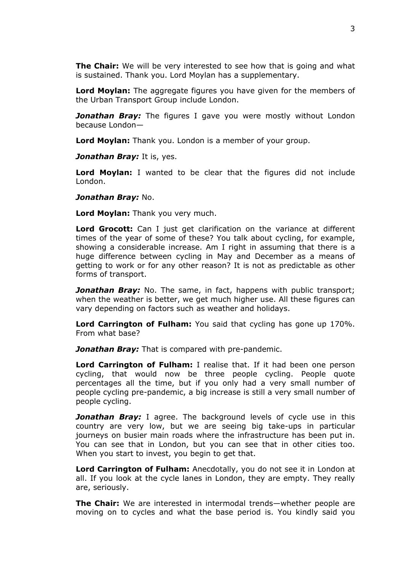**The Chair:** We will be very interested to see how that is going and what is sustained. Thank you. Lord Moylan has a supplementary.

**Lord Moylan:** The aggregate figures you have given for the members of the Urban Transport Group include London.

*Jonathan Bray:* The figures I gave you were mostly without London because London—

**Lord Moylan:** Thank you. London is a member of your group.

*Jonathan Bray:* It is, yes.

**Lord Moylan:** I wanted to be clear that the figures did not include London.

#### *Jonathan Bray:* No.

**Lord Moylan:** Thank you very much.

**Lord Grocott:** Can I just get clarification on the variance at different times of the year of some of these? You talk about cycling, for example, showing a considerable increase. Am I right in assuming that there is a huge difference between cycling in May and December as a means of getting to work or for any other reason? It is not as predictable as other forms of transport.

**Jonathan Bray:** No. The same, in fact, happens with public transport; when the weather is better, we get much higher use. All these figures can vary depending on factors such as weather and holidays.

**Lord Carrington of Fulham:** You said that cycling has gone up 170%. From what base?

**Jonathan Bray:** That is compared with pre-pandemic.

**Lord Carrington of Fulham:** I realise that. If it had been one person cycling, that would now be three people cycling. People quote percentages all the time, but if you only had a very small number of people cycling pre-pandemic, a big increase is still a very small number of people cycling.

**Jonathan Bray:** I agree. The background levels of cycle use in this country are very low, but we are seeing big take-ups in particular journeys on busier main roads where the infrastructure has been put in. You can see that in London, but you can see that in other cities too. When you start to invest, you begin to get that.

**Lord Carrington of Fulham:** Anecdotally, you do not see it in London at all. If you look at the cycle lanes in London, they are empty. They really are, seriously.

**The Chair:** We are interested in intermodal trends—whether people are moving on to cycles and what the base period is. You kindly said you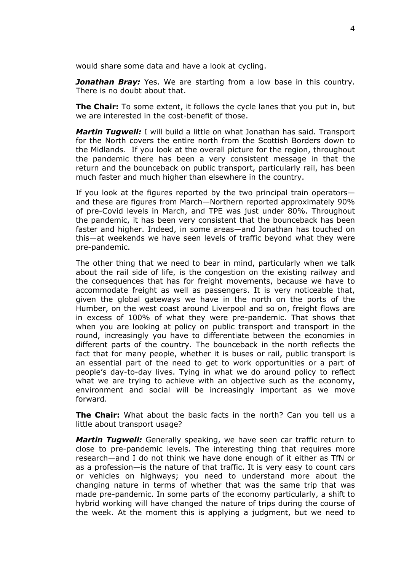would share some data and have a look at cycling.

*Jonathan Bray:* Yes. We are starting from a low base in this country. There is no doubt about that.

**The Chair:** To some extent, it follows the cycle lanes that you put in, but we are interested in the cost-benefit of those.

*Martin Tugwell:* I will build a little on what Jonathan has said. Transport for the North covers the entire north from the Scottish Borders down to the Midlands. If you look at the overall picture for the region, throughout the pandemic there has been a very consistent message in that the return and the bounceback on public transport, particularly rail, has been much faster and much higher than elsewhere in the country.

If you look at the figures reported by the two principal train operators and these are figures from March—Northern reported approximately 90% of pre-Covid levels in March, and TPE was just under 80%. Throughout the pandemic, it has been very consistent that the bounceback has been faster and higher. Indeed, in some areas—and Jonathan has touched on this—at weekends we have seen levels of traffic beyond what they were pre-pandemic.

The other thing that we need to bear in mind, particularly when we talk about the rail side of life, is the congestion on the existing railway and the consequences that has for freight movements, because we have to accommodate freight as well as passengers. It is very noticeable that, given the global gateways we have in the north on the ports of the Humber, on the west coast around Liverpool and so on, freight flows are in excess of 100% of what they were pre-pandemic. That shows that when you are looking at policy on public transport and transport in the round, increasingly you have to differentiate between the economies in different parts of the country. The bounceback in the north reflects the fact that for many people, whether it is buses or rail, public transport is an essential part of the need to get to work opportunities or a part of people's day-to-day lives. Tying in what we do around policy to reflect what we are trying to achieve with an objective such as the economy, environment and social will be increasingly important as we move forward.

**The Chair:** What about the basic facts in the north? Can you tell us a little about transport usage?

*Martin Tugwell:* Generally speaking, we have seen car traffic return to close to pre-pandemic levels. The interesting thing that requires more research—and I do not think we have done enough of it either as TfN or as a profession—is the nature of that traffic. It is very easy to count cars or vehicles on highways; you need to understand more about the changing nature in terms of whether that was the same trip that was made pre-pandemic. In some parts of the economy particularly, a shift to hybrid working will have changed the nature of trips during the course of the week. At the moment this is applying a judgment, but we need to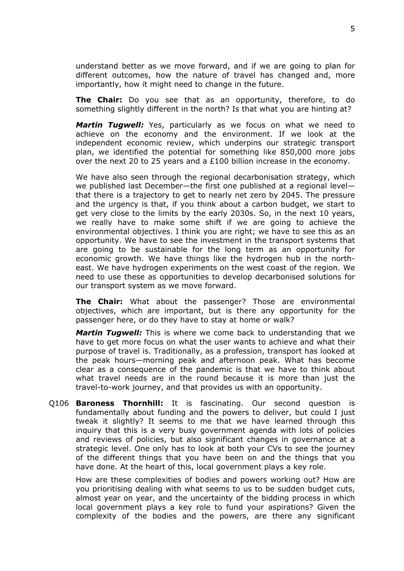understand better as we move forward, and if we are going to plan for different outcomes, how the nature of travel has changed and, more importantly, how it might need to change in the future.

**The Chair:** Do you see that as an opportunity, therefore, to do something slightly different in the north? Is that what you are hinting at?

*Martin Tugwell:* Yes, particularly as we focus on what we need to achieve on the economy and the environment. If we look at the independent economic review, which underpins our strategic transport plan, we identified the potential for something like 850,000 more jobs over the next 20 to 25 years and a £100 billion increase in the economy.

We have also seen through the regional decarbonisation strategy, which we published last December—the first one published at a regional level that there is a trajectory to get to nearly net zero by 2045. The pressure and the urgency is that, if you think about a carbon budget, we start to get very close to the limits by the early 2030s. So, in the next 10 years, we really have to make some shift if we are going to achieve the environmental objectives. I think you are right; we have to see this as an opportunity. We have to see the investment in the transport systems that are going to be sustainable for the long term as an opportunity for economic growth. We have things like the hydrogen hub in the northeast. We have hydrogen experiments on the west coast of the region. We need to use these as opportunities to develop decarbonised solutions for our transport system as we move forward.

**The Chair:** What about the passenger? Those are environmental objectives, which are important, but is there any opportunity for the passenger here, or do they have to stay at home or walk?

*Martin Tugwell:* This is where we come back to understanding that we have to get more focus on what the user wants to achieve and what their purpose of travel is. Traditionally, as a profession, transport has looked at the peak hours—morning peak and afternoon peak. What has become clear as a consequence of the pandemic is that we have to think about what travel needs are in the round because it is more than just the travel-to-work journey, and that provides us with an opportunity.

Q106 **Baroness Thornhill:** It is fascinating. Our second question is fundamentally about funding and the powers to deliver, but could I just tweak it slightly? It seems to me that we have learned through this inquiry that this is a very busy government agenda with lots of policies and reviews of policies, but also significant changes in governance at a strategic level. One only has to look at both your CVs to see the journey of the different things that you have been on and the things that you have done. At the heart of this, local government plays a key role.

How are these complexities of bodies and powers working out? How are you prioritising dealing with what seems to us to be sudden budget cuts, almost year on year, and the uncertainty of the bidding process in which local government plays a key role to fund your aspirations? Given the complexity of the bodies and the powers, are there any significant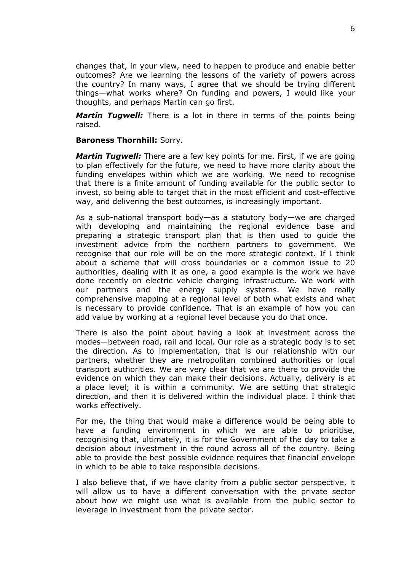changes that, in your view, need to happen to produce and enable better outcomes? Are we learning the lessons of the variety of powers across the country? In many ways, I agree that we should be trying different things—what works where? On funding and powers, I would like your thoughts, and perhaps Martin can go first.

*Martin Tugwell:* There is a lot in there in terms of the points being raised.

#### **Baroness Thornhill:** Sorry.

*Martin Tugwell:* There are a few key points for me. First, if we are going to plan effectively for the future, we need to have more clarity about the funding envelopes within which we are working. We need to recognise that there is a finite amount of funding available for the public sector to invest, so being able to target that in the most efficient and cost-effective way, and delivering the best outcomes, is increasingly important.

As a sub-national transport body—as a statutory body—we are charged with developing and maintaining the regional evidence base and preparing a strategic transport plan that is then used to guide the investment advice from the northern partners to government. We recognise that our role will be on the more strategic context. If I think about a scheme that will cross boundaries or a common issue to 20 authorities, dealing with it as one, a good example is the work we have done recently on electric vehicle charging infrastructure. We work with our partners and the energy supply systems. We have really comprehensive mapping at a regional level of both what exists and what is necessary to provide confidence. That is an example of how you can add value by working at a regional level because you do that once.

There is also the point about having a look at investment across the modes—between road, rail and local. Our role as a strategic body is to set the direction. As to implementation, that is our relationship with our partners, whether they are metropolitan combined authorities or local transport authorities. We are very clear that we are there to provide the evidence on which they can make their decisions. Actually, delivery is at a place level; it is within a community. We are setting that strategic direction, and then it is delivered within the individual place. I think that works effectively.

For me, the thing that would make a difference would be being able to have a funding environment in which we are able to prioritise, recognising that, ultimately, it is for the Government of the day to take a decision about investment in the round across all of the country. Being able to provide the best possible evidence requires that financial envelope in which to be able to take responsible decisions.

I also believe that, if we have clarity from a public sector perspective, it will allow us to have a different conversation with the private sector about how we might use what is available from the public sector to leverage in investment from the private sector.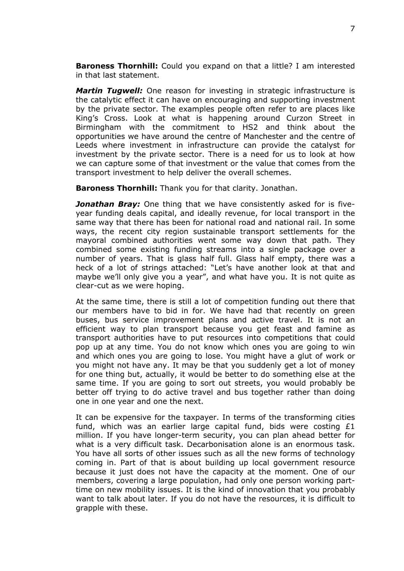**Baroness Thornhill:** Could you expand on that a little? I am interested in that last statement.

*Martin Tugwell:* One reason for investing in strategic infrastructure is the catalytic effect it can have on encouraging and supporting investment by the private sector. The examples people often refer to are places like King's Cross. Look at what is happening around Curzon Street in Birmingham with the commitment to HS2 and think about the opportunities we have around the centre of Manchester and the centre of Leeds where investment in infrastructure can provide the catalyst for investment by the private sector. There is a need for us to look at how we can capture some of that investment or the value that comes from the transport investment to help deliver the overall schemes.

**Baroness Thornhill:** Thank you for that clarity. Jonathan.

*Jonathan Bray:* One thing that we have consistently asked for is fiveyear funding deals capital, and ideally revenue, for local transport in the same way that there has been for national road and national rail. In some ways, the recent city region sustainable transport settlements for the mayoral combined authorities went some way down that path. They combined some existing funding streams into a single package over a number of years. That is glass half full. Glass half empty, there was a heck of a lot of strings attached: "Let's have another look at that and maybe we'll only give you a year", and what have you. It is not quite as clear-cut as we were hoping.

At the same time, there is still a lot of competition funding out there that our members have to bid in for. We have had that recently on green buses, bus service improvement plans and active travel. It is not an efficient way to plan transport because you get feast and famine as transport authorities have to put resources into competitions that could pop up at any time. You do not know which ones you are going to win and which ones you are going to lose. You might have a glut of work or you might not have any. It may be that you suddenly get a lot of money for one thing but, actually, it would be better to do something else at the same time. If you are going to sort out streets, you would probably be better off trying to do active travel and bus together rather than doing one in one year and one the next.

It can be expensive for the taxpayer. In terms of the transforming cities fund, which was an earlier large capital fund, bids were costing £1 million. If you have longer-term security, you can plan ahead better for what is a very difficult task. Decarbonisation alone is an enormous task. You have all sorts of other issues such as all the new forms of technology coming in. Part of that is about building up local government resource because it just does not have the capacity at the moment. One of our members, covering a large population, had only one person working parttime on new mobility issues. It is the kind of innovation that you probably want to talk about later. If you do not have the resources, it is difficult to grapple with these.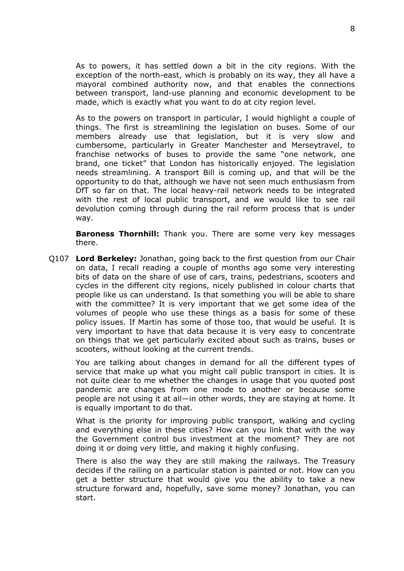As to powers, it has settled down a bit in the city regions. With the exception of the north-east, which is probably on its way, they all have a mayoral combined authority now, and that enables the connections between transport, land-use planning and economic development to be made, which is exactly what you want to do at city region level.

As to the powers on transport in particular, I would highlight a couple of things. The first is streamlining the legislation on buses. Some of our members already use that legislation, but it is very slow and cumbersome, particularly in Greater Manchester and Merseytravel, to franchise networks of buses to provide the same "one network, one brand, one ticket" that London has historically enjoyed. The legislation needs streamlining. A transport Bill is coming up, and that will be the opportunity to do that, although we have not seen much enthusiasm from DfT so far on that. The local heavy-rail network needs to be integrated with the rest of local public transport, and we would like to see rail devolution coming through during the rail reform process that is under way.

**Baroness Thornhill:** Thank you. There are some very key messages there.

Q107 **Lord Berkeley:** Jonathan, going back to the first question from our Chair on data, I recall reading a couple of months ago some very interesting bits of data on the share of use of cars, trains, pedestrians, scooters and cycles in the different city regions, nicely published in colour charts that people like us can understand. Is that something you will be able to share with the committee? It is very important that we get some idea of the volumes of people who use these things as a basis for some of these policy issues. If Martin has some of those too, that would be useful. It is very important to have that data because it is very easy to concentrate on things that we get particularly excited about such as trains, buses or scooters, without looking at the current trends.

You are talking about changes in demand for all the different types of service that make up what you might call public transport in cities. It is not quite clear to me whether the changes in usage that you quoted post pandemic are changes from one mode to another or because some people are not using it at all—in other words, they are staying at home. It is equally important to do that.

What is the priority for improving public transport, walking and cycling and everything else in these cities? How can you link that with the way the Government control bus investment at the moment? They are not doing it or doing very little, and making it highly confusing.

There is also the way they are still making the railways. The Treasury decides if the railing on a particular station is painted or not. How can you get a better structure that would give you the ability to take a new structure forward and, hopefully, save some money? Jonathan, you can start.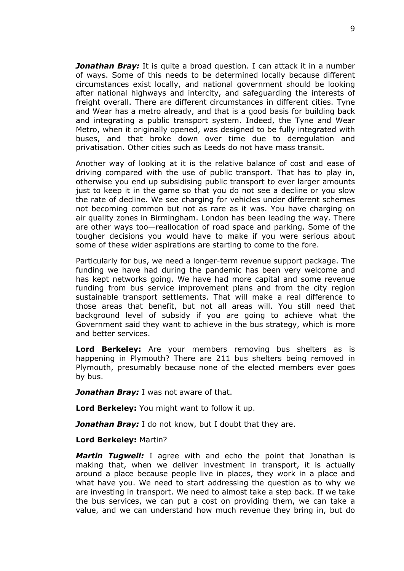*Jonathan Bray:* It is quite a broad question. I can attack it in a number of ways. Some of this needs to be determined locally because different circumstances exist locally, and national government should be looking after national highways and intercity, and safeguarding the interests of freight overall. There are different circumstances in different cities. Tyne and Wear has a metro already, and that is a good basis for building back and integrating a public transport system. Indeed, the Tyne and Wear Metro, when it originally opened, was designed to be fully integrated with buses, and that broke down over time due to deregulation and privatisation. Other cities such as Leeds do not have mass transit.

Another way of looking at it is the relative balance of cost and ease of driving compared with the use of public transport. That has to play in, otherwise you end up subsidising public transport to ever larger amounts just to keep it in the game so that you do not see a decline or you slow the rate of decline. We see charging for vehicles under different schemes not becoming common but not as rare as it was. You have charging on air quality zones in Birmingham. London has been leading the way. There are other ways too—reallocation of road space and parking. Some of the tougher decisions you would have to make if you were serious about some of these wider aspirations are starting to come to the fore.

Particularly for bus, we need a longer-term revenue support package. The funding we have had during the pandemic has been very welcome and has kept networks going. We have had more capital and some revenue funding from bus service improvement plans and from the city region sustainable transport settlements. That will make a real difference to those areas that benefit, but not all areas will. You still need that background level of subsidy if you are going to achieve what the Government said they want to achieve in the bus strategy, which is more and better services.

**Lord Berkeley:** Are your members removing bus shelters as is happening in Plymouth? There are 211 bus shelters being removed in Plymouth, presumably because none of the elected members ever goes by bus.

*Jonathan Bray:* I was not aware of that.

**Lord Berkeley:** You might want to follow it up.

*Jonathan Bray:* I do not know, but I doubt that they are.

#### **Lord Berkeley:** Martin?

*Martin Tugwell:* I agree with and echo the point that Jonathan is making that, when we deliver investment in transport, it is actually around a place because people live in places, they work in a place and what have you. We need to start addressing the question as to why we are investing in transport. We need to almost take a step back. If we take the bus services, we can put a cost on providing them, we can take a value, and we can understand how much revenue they bring in, but do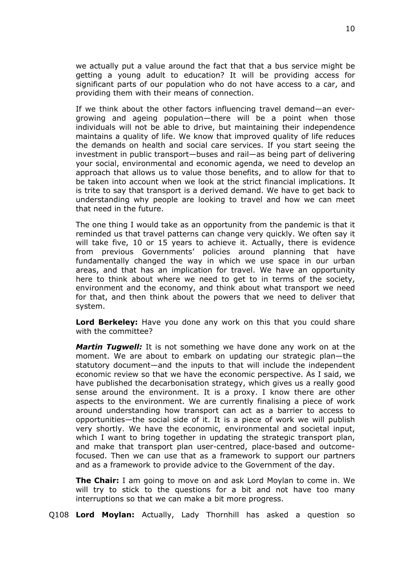we actually put a value around the fact that that a bus service might be getting a young adult to education? It will be providing access for significant parts of our population who do not have access to a car, and providing them with their means of connection.

If we think about the other factors influencing travel demand—an evergrowing and ageing population—there will be a point when those individuals will not be able to drive, but maintaining their independence maintains a quality of life. We know that improved quality of life reduces the demands on health and social care services. If you start seeing the investment in public transport—buses and rail—as being part of delivering your social, environmental and economic agenda, we need to develop an approach that allows us to value those benefits, and to allow for that to be taken into account when we look at the strict financial implications. It is trite to say that transport is a derived demand. We have to get back to understanding why people are looking to travel and how we can meet that need in the future.

The one thing I would take as an opportunity from the pandemic is that it reminded us that travel patterns can change very quickly. We often say it will take five, 10 or 15 years to achieve it. Actually, there is evidence from previous Governments' policies around planning that have fundamentally changed the way in which we use space in our urban areas, and that has an implication for travel. We have an opportunity here to think about where we need to get to in terms of the society, environment and the economy, and think about what transport we need for that, and then think about the powers that we need to deliver that system.

**Lord Berkeley:** Have you done any work on this that you could share with the committee?

*Martin Tugwell:* It is not something we have done any work on at the moment. We are about to embark on updating our strategic plan—the statutory document—and the inputs to that will include the independent economic review so that we have the economic perspective. As I said, we have published the decarbonisation strategy, which gives us a really good sense around the environment. It is a proxy. I know there are other aspects to the environment. We are currently finalising a piece of work around understanding how transport can act as a barrier to access to opportunities—the social side of it. It is a piece of work we will publish very shortly. We have the economic, environmental and societal input, which I want to bring together in updating the strategic transport plan, and make that transport plan user-centred, place-based and outcomefocused. Then we can use that as a framework to support our partners and as a framework to provide advice to the Government of the day.

**The Chair:** I am going to move on and ask Lord Moylan to come in. We will try to stick to the questions for a bit and not have too many interruptions so that we can make a bit more progress.

Q108 **Lord Moylan:** Actually, Lady Thornhill has asked a question so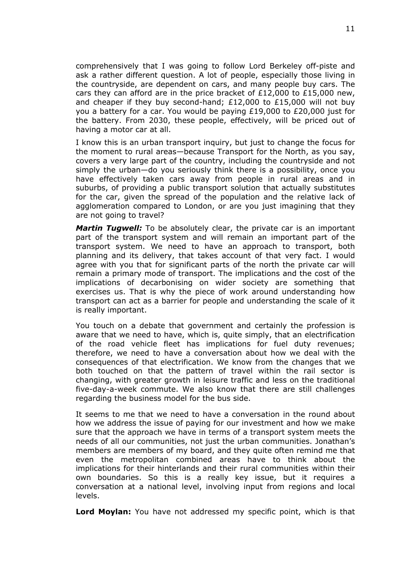comprehensively that I was going to follow Lord Berkeley off-piste and ask a rather different question. A lot of people, especially those living in the countryside, are dependent on cars, and many people buy cars. The cars they can afford are in the price bracket of £12,000 to £15,000 new, and cheaper if they buy second-hand; £12,000 to £15,000 will not buy you a battery for a car. You would be paying £19,000 to £20,000 just for the battery. From 2030, these people, effectively, will be priced out of having a motor car at all.

I know this is an urban transport inquiry, but just to change the focus for the moment to rural areas—because Transport for the North, as you say, covers a very large part of the country, including the countryside and not simply the urban—do you seriously think there is a possibility, once you have effectively taken cars away from people in rural areas and in suburbs, of providing a public transport solution that actually substitutes for the car, given the spread of the population and the relative lack of agglomeration compared to London, or are you just imagining that they are not going to travel?

*Martin Tugwell:* To be absolutely clear, the private car is an important part of the transport system and will remain an important part of the transport system. We need to have an approach to transport, both planning and its delivery, that takes account of that very fact. I would agree with you that for significant parts of the north the private car will remain a primary mode of transport. The implications and the cost of the implications of decarbonising on wider society are something that exercises us. That is why the piece of work around understanding how transport can act as a barrier for people and understanding the scale of it is really important.

You touch on a debate that government and certainly the profession is aware that we need to have, which is, quite simply, that an electrification of the road vehicle fleet has implications for fuel duty revenues; therefore, we need to have a conversation about how we deal with the consequences of that electrification. We know from the changes that we both touched on that the pattern of travel within the rail sector is changing, with greater growth in leisure traffic and less on the traditional five-day-a-week commute. We also know that there are still challenges regarding the business model for the bus side.

It seems to me that we need to have a conversation in the round about how we address the issue of paying for our investment and how we make sure that the approach we have in terms of a transport system meets the needs of all our communities, not just the urban communities. Jonathan's members are members of my board, and they quite often remind me that even the metropolitan combined areas have to think about the implications for their hinterlands and their rural communities within their own boundaries. So this is a really key issue, but it requires a conversation at a national level, involving input from regions and local levels.

**Lord Moylan:** You have not addressed my specific point, which is that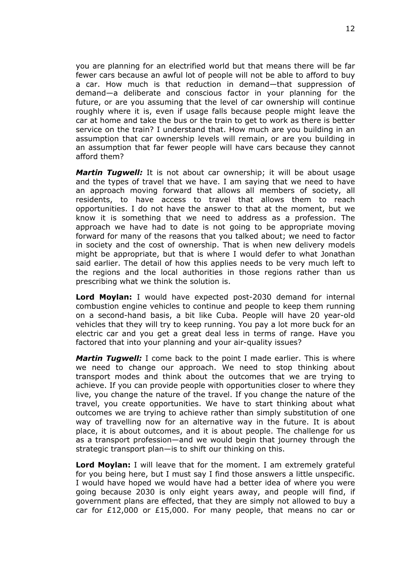you are planning for an electrified world but that means there will be far fewer cars because an awful lot of people will not be able to afford to buy a car. How much is that reduction in demand—that suppression of demand—a deliberate and conscious factor in your planning for the future, or are you assuming that the level of car ownership will continue roughly where it is, even if usage falls because people might leave the car at home and take the bus or the train to get to work as there is better service on the train? I understand that. How much are you building in an assumption that car ownership levels will remain, or are you building in an assumption that far fewer people will have cars because they cannot afford them?

*Martin Tugwell:* It is not about car ownership; it will be about usage and the types of travel that we have. I am saying that we need to have an approach moving forward that allows all members of society, all residents, to have access to travel that allows them to reach opportunities. I do not have the answer to that at the moment, but we know it is something that we need to address as a profession. The approach we have had to date is not going to be appropriate moving forward for many of the reasons that you talked about; we need to factor in society and the cost of ownership. That is when new delivery models might be appropriate, but that is where I would defer to what Jonathan said earlier. The detail of how this applies needs to be very much left to the regions and the local authorities in those regions rather than us prescribing what we think the solution is.

**Lord Moylan:** I would have expected post-2030 demand for internal combustion engine vehicles to continue and people to keep them running on a second-hand basis, a bit like Cuba. People will have 20 year-old vehicles that they will try to keep running. You pay a lot more buck for an electric car and you get a great deal less in terms of range. Have you factored that into your planning and your air-quality issues?

*Martin Tugwell:* I come back to the point I made earlier. This is where we need to change our approach. We need to stop thinking about transport modes and think about the outcomes that we are trying to achieve. If you can provide people with opportunities closer to where they live, you change the nature of the travel. If you change the nature of the travel, you create opportunities. We have to start thinking about what outcomes we are trying to achieve rather than simply substitution of one way of travelling now for an alternative way in the future. It is about place, it is about outcomes, and it is about people. The challenge for us as a transport profession—and we would begin that journey through the strategic transport plan—is to shift our thinking on this.

**Lord Moylan:** I will leave that for the moment. I am extremely grateful for you being here, but I must say I find those answers a little unspecific. I would have hoped we would have had a better idea of where you were going because 2030 is only eight years away, and people will find, if government plans are effected, that they are simply not allowed to buy a car for £12,000 or £15,000. For many people, that means no car or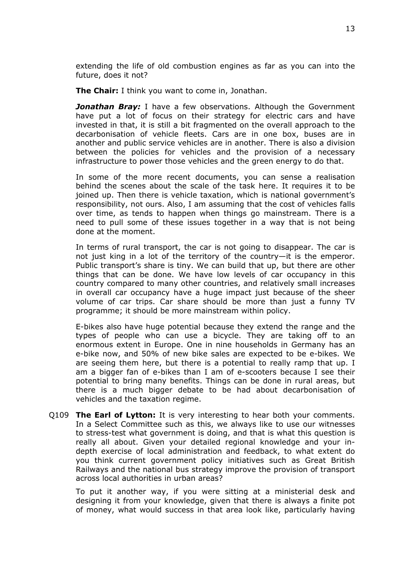extending the life of old combustion engines as far as you can into the future, does it not?

**The Chair:** I think you want to come in, Jonathan.

*Jonathan Bray:* I have a few observations. Although the Government have put a lot of focus on their strategy for electric cars and have invested in that, it is still a bit fragmented on the overall approach to the decarbonisation of vehicle fleets. Cars are in one box, buses are in another and public service vehicles are in another. There is also a division between the policies for vehicles and the provision of a necessary infrastructure to power those vehicles and the green energy to do that.

In some of the more recent documents, you can sense a realisation behind the scenes about the scale of the task here. It requires it to be joined up. Then there is vehicle taxation, which is national government's responsibility, not ours. Also, I am assuming that the cost of vehicles falls over time, as tends to happen when things go mainstream. There is a need to pull some of these issues together in a way that is not being done at the moment.

In terms of rural transport, the car is not going to disappear. The car is not just king in a lot of the territory of the country—it is the emperor. Public transport's share is tiny. We can build that up, but there are other things that can be done. We have low levels of car occupancy in this country compared to many other countries, and relatively small increases in overall car occupancy have a huge impact just because of the sheer volume of car trips. Car share should be more than just a funny TV programme; it should be more mainstream within policy.

E-bikes also have huge potential because they extend the range and the types of people who can use a bicycle. They are taking off to an enormous extent in Europe. One in nine households in Germany has an e-bike now, and 50% of new bike sales are expected to be e-bikes. We are seeing them here, but there is a potential to really ramp that up. I am a bigger fan of e-bikes than I am of e-scooters because I see their potential to bring many benefits. Things can be done in rural areas, but there is a much bigger debate to be had about decarbonisation of vehicles and the taxation regime.

Q109 **The Earl of Lytton:** It is very interesting to hear both your comments. In a Select Committee such as this, we always like to use our witnesses to stress-test what government is doing, and that is what this question is really all about. Given your detailed regional knowledge and your indepth exercise of local administration and feedback, to what extent do you think current government policy initiatives such as Great British Railways and the national bus strategy improve the provision of transport across local authorities in urban areas?

To put it another way, if you were sitting at a ministerial desk and designing it from your knowledge, given that there is always a finite pot of money, what would success in that area look like, particularly having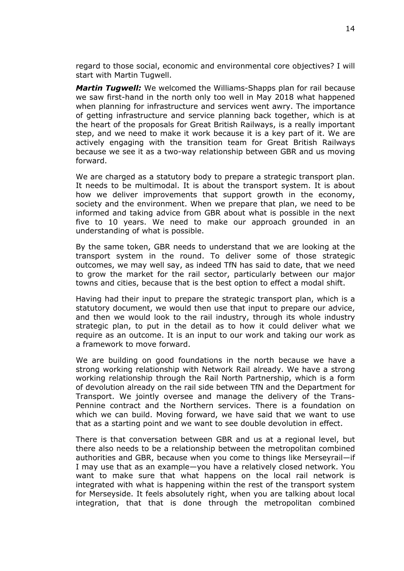regard to those social, economic and environmental core objectives? I will start with Martin Tugwell.

*Martin Tugwell:* We welcomed the Williams-Shapps plan for rail because we saw first-hand in the north only too well in May 2018 what happened when planning for infrastructure and services went awry. The importance of getting infrastructure and service planning back together, which is at the heart of the proposals for Great British Railways, is a really important step, and we need to make it work because it is a key part of it. We are actively engaging with the transition team for Great British Railways because we see it as a two-way relationship between GBR and us moving forward.

We are charged as a statutory body to prepare a strategic transport plan. It needs to be multimodal. It is about the transport system. It is about how we deliver improvements that support growth in the economy, society and the environment. When we prepare that plan, we need to be informed and taking advice from GBR about what is possible in the next five to 10 years. We need to make our approach grounded in an understanding of what is possible.

By the same token, GBR needs to understand that we are looking at the transport system in the round. To deliver some of those strategic outcomes, we may well say, as indeed TfN has said to date, that we need to grow the market for the rail sector, particularly between our major towns and cities, because that is the best option to effect a modal shift.

Having had their input to prepare the strategic transport plan, which is a statutory document, we would then use that input to prepare our advice, and then we would look to the rail industry, through its whole industry strategic plan, to put in the detail as to how it could deliver what we require as an outcome. It is an input to our work and taking our work as a framework to move forward.

We are building on good foundations in the north because we have a strong working relationship with Network Rail already. We have a strong working relationship through the Rail North Partnership, which is a form of devolution already on the rail side between TfN and the Department for Transport. We jointly oversee and manage the delivery of the Trans-Pennine contract and the Northern services. There is a foundation on which we can build. Moving forward, we have said that we want to use that as a starting point and we want to see double devolution in effect.

There is that conversation between GBR and us at a regional level, but there also needs to be a relationship between the metropolitan combined authorities and GBR, because when you come to things like Merseyrail—if I may use that as an example—you have a relatively closed network. You want to make sure that what happens on the local rail network is integrated with what is happening within the rest of the transport system for Merseyside. It feels absolutely right, when you are talking about local integration, that that is done through the metropolitan combined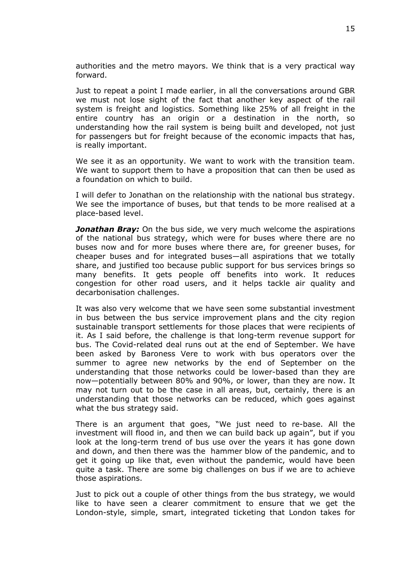authorities and the metro mayors. We think that is a very practical way forward.

Just to repeat a point I made earlier, in all the conversations around GBR we must not lose sight of the fact that another key aspect of the rail system is freight and logistics. Something like 25% of all freight in the entire country has an origin or a destination in the north, so understanding how the rail system is being built and developed, not just for passengers but for freight because of the economic impacts that has, is really important.

We see it as an opportunity. We want to work with the transition team. We want to support them to have a proposition that can then be used as a foundation on which to build.

I will defer to Jonathan on the relationship with the national bus strategy. We see the importance of buses, but that tends to be more realised at a place-based level.

*Jonathan Bray:* On the bus side, we very much welcome the aspirations of the national bus strategy, which were for buses where there are no buses now and for more buses where there are, for greener buses, for cheaper buses and for integrated buses—all aspirations that we totally share, and justified too because public support for bus services brings so many benefits. It gets people off benefits into work. It reduces congestion for other road users, and it helps tackle air quality and decarbonisation challenges.

It was also very welcome that we have seen some substantial investment in bus between the bus service improvement plans and the city region sustainable transport settlements for those places that were recipients of it. As I said before, the challenge is that long-term revenue support for bus. The Covid-related deal runs out at the end of September. We have been asked by Baroness Vere to work with bus operators over the summer to agree new networks by the end of September on the understanding that those networks could be lower-based than they are now—potentially between 80% and 90%, or lower, than they are now. It may not turn out to be the case in all areas, but, certainly, there is an understanding that those networks can be reduced, which goes against what the bus strategy said.

There is an argument that goes, "We just need to re-base. All the investment will flood in, and then we can build back up again", but if you look at the long-term trend of bus use over the years it has gone down and down, and then there was the hammer blow of the pandemic, and to get it going up like that, even without the pandemic, would have been quite a task. There are some big challenges on bus if we are to achieve those aspirations.

Just to pick out a couple of other things from the bus strategy, we would like to have seen a clearer commitment to ensure that we get the London-style, simple, smart, integrated ticketing that London takes for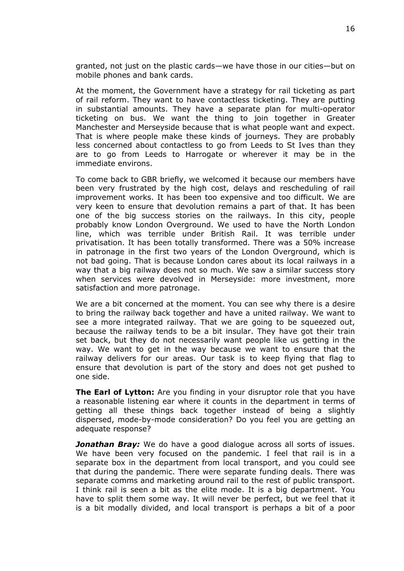granted, not just on the plastic cards—we have those in our cities—but on mobile phones and bank cards.

At the moment, the Government have a strategy for rail ticketing as part of rail reform. They want to have contactless ticketing. They are putting in substantial amounts. They have a separate plan for multi-operator ticketing on bus. We want the thing to join together in Greater Manchester and Merseyside because that is what people want and expect. That is where people make these kinds of journeys. They are probably less concerned about contactless to go from Leeds to St Ives than they are to go from Leeds to Harrogate or wherever it may be in the immediate environs.

To come back to GBR briefly, we welcomed it because our members have been very frustrated by the high cost, delays and rescheduling of rail improvement works. It has been too expensive and too difficult. We are very keen to ensure that devolution remains a part of that. It has been one of the big success stories on the railways. In this city, people probably know London Overground. We used to have the North London line, which was terrible under British Rail. It was terrible under privatisation. It has been totally transformed. There was a 50% increase in patronage in the first two years of the London Overground, which is not bad going. That is because London cares about its local railways in a way that a big railway does not so much. We saw a similar success story when services were devolved in Merseyside: more investment, more satisfaction and more patronage.

We are a bit concerned at the moment. You can see why there is a desire to bring the railway back together and have a united railway. We want to see a more integrated railway. That we are going to be squeezed out, because the railway tends to be a bit insular. They have got their train set back, but they do not necessarily want people like us getting in the way. We want to get in the way because we want to ensure that the railway delivers for our areas. Our task is to keep flying that flag to ensure that devolution is part of the story and does not get pushed to one side.

**The Earl of Lytton:** Are you finding in your disruptor role that you have a reasonable listening ear where it counts in the department in terms of getting all these things back together instead of being a slightly dispersed, mode-by-mode consideration? Do you feel you are getting an adequate response?

*Jonathan Bray:* We do have a good dialogue across all sorts of issues. We have been very focused on the pandemic. I feel that rail is in a separate box in the department from local transport, and you could see that during the pandemic. There were separate funding deals. There was separate comms and marketing around rail to the rest of public transport. I think rail is seen a bit as the elite mode. It is a big department. You have to split them some way. It will never be perfect, but we feel that it is a bit modally divided, and local transport is perhaps a bit of a poor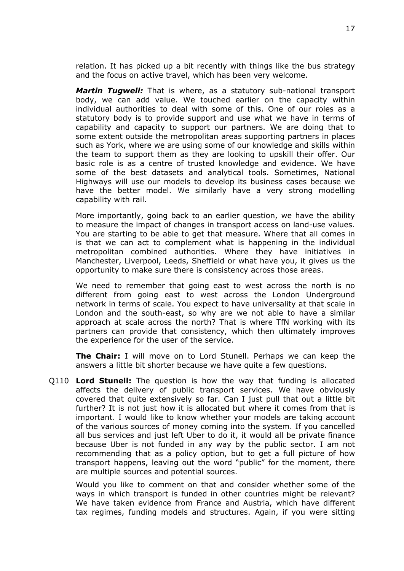relation. It has picked up a bit recently with things like the bus strategy and the focus on active travel, which has been very welcome.

*Martin Tugwell:* That is where, as a statutory sub-national transport body, we can add value. We touched earlier on the capacity within individual authorities to deal with some of this. One of our roles as a statutory body is to provide support and use what we have in terms of capability and capacity to support our partners. We are doing that to some extent outside the metropolitan areas supporting partners in places such as York, where we are using some of our knowledge and skills within the team to support them as they are looking to upskill their offer. Our basic role is as a centre of trusted knowledge and evidence. We have some of the best datasets and analytical tools. Sometimes, National Highways will use our models to develop its business cases because we have the better model. We similarly have a very strong modelling capability with rail.

More importantly, going back to an earlier question, we have the ability to measure the impact of changes in transport access on land-use values. You are starting to be able to get that measure. Where that all comes in is that we can act to complement what is happening in the individual metropolitan combined authorities. Where they have initiatives in Manchester, Liverpool, Leeds, Sheffield or what have you, it gives us the opportunity to make sure there is consistency across those areas.

We need to remember that going east to west across the north is no different from going east to west across the London Underground network in terms of scale. You expect to have universality at that scale in London and the south-east, so why are we not able to have a similar approach at scale across the north? That is where TfN working with its partners can provide that consistency, which then ultimately improves the experience for the user of the service.

**The Chair:** I will move on to Lord Stunell. Perhaps we can keep the answers a little bit shorter because we have quite a few questions.

Q110 **Lord Stunell:** The question is how the way that funding is allocated affects the delivery of public transport services. We have obviously covered that quite extensively so far. Can I just pull that out a little bit further? It is not just how it is allocated but where it comes from that is important. I would like to know whether your models are taking account of the various sources of money coming into the system. If you cancelled all bus services and just left Uber to do it, it would all be private finance because Uber is not funded in any way by the public sector. I am not recommending that as a policy option, but to get a full picture of how transport happens, leaving out the word "public" for the moment, there are multiple sources and potential sources.

Would you like to comment on that and consider whether some of the ways in which transport is funded in other countries might be relevant? We have taken evidence from France and Austria, which have different tax regimes, funding models and structures. Again, if you were sitting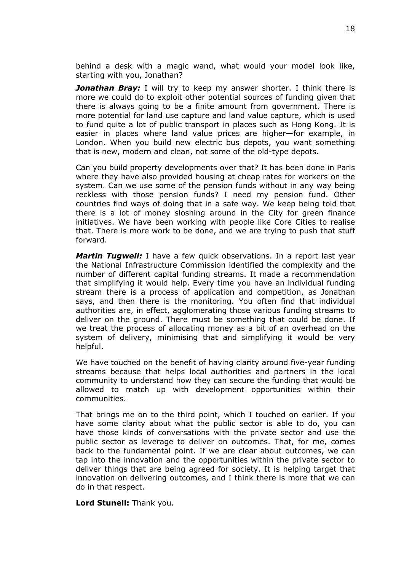behind a desk with a magic wand, what would your model look like, starting with you, Jonathan?

*Jonathan Bray:* I will try to keep my answer shorter. I think there is more we could do to exploit other potential sources of funding given that there is always going to be a finite amount from government. There is more potential for land use capture and land value capture, which is used to fund quite a lot of public transport in places such as Hong Kong. It is easier in places where land value prices are higher—for example, in London. When you build new electric bus depots, you want something that is new, modern and clean, not some of the old-type depots.

Can you build property developments over that? It has been done in Paris where they have also provided housing at cheap rates for workers on the system. Can we use some of the pension funds without in any way being reckless with those pension funds? I need my pension fund. Other countries find ways of doing that in a safe way. We keep being told that there is a lot of money sloshing around in the City for green finance initiatives. We have been working with people like Core Cities to realise that. There is more work to be done, and we are trying to push that stuff forward.

*Martin Tugwell:* I have a few quick observations. In a report last year the National Infrastructure Commission identified the complexity and the number of different capital funding streams. It made a recommendation that simplifying it would help. Every time you have an individual funding stream there is a process of application and competition, as Jonathan says, and then there is the monitoring. You often find that individual authorities are, in effect, agglomerating those various funding streams to deliver on the ground. There must be something that could be done. If we treat the process of allocating money as a bit of an overhead on the system of delivery, minimising that and simplifying it would be very helpful.

We have touched on the benefit of having clarity around five-year funding streams because that helps local authorities and partners in the local community to understand how they can secure the funding that would be allowed to match up with development opportunities within their communities.

That brings me on to the third point, which I touched on earlier. If you have some clarity about what the public sector is able to do, you can have those kinds of conversations with the private sector and use the public sector as leverage to deliver on outcomes. That, for me, comes back to the fundamental point. If we are clear about outcomes, we can tap into the innovation and the opportunities within the private sector to deliver things that are being agreed for society. It is helping target that innovation on delivering outcomes, and I think there is more that we can do in that respect.

**Lord Stunell:** Thank you.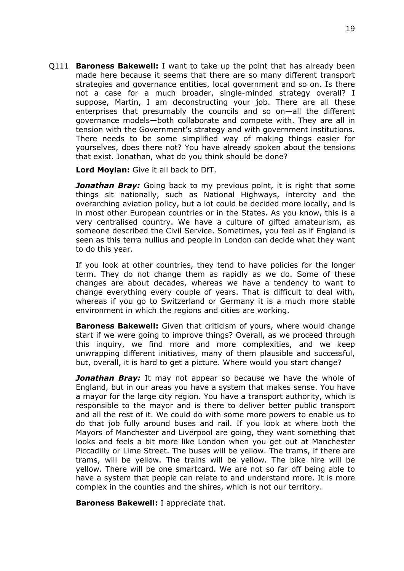Q111 **Baroness Bakewell:** I want to take up the point that has already been made here because it seems that there are so many different transport strategies and governance entities, local government and so on. Is there not a case for a much broader, single-minded strategy overall? I suppose, Martin, I am deconstructing your job. There are all these enterprises that presumably the councils and so on—all the different governance models—both collaborate and compete with. They are all in tension with the Government's strategy and with government institutions. There needs to be some simplified way of making things easier for yourselves, does there not? You have already spoken about the tensions that exist. Jonathan, what do you think should be done?

**Lord Moylan:** Give it all back to DfT.

*Jonathan Bray:* Going back to my previous point, it is right that some things sit nationally, such as National Highways, intercity and the overarching aviation policy, but a lot could be decided more locally, and is in most other European countries or in the States. As you know, this is a very centralised country. We have a culture of gifted amateurism, as someone described the Civil Service. Sometimes, you feel as if England is seen as this terra nullius and people in London can decide what they want to do this year.

If you look at other countries, they tend to have policies for the longer term. They do not change them as rapidly as we do. Some of these changes are about decades, whereas we have a tendency to want to change everything every couple of years. That is difficult to deal with, whereas if you go to Switzerland or Germany it is a much more stable environment in which the regions and cities are working.

**Baroness Bakewell:** Given that criticism of yours, where would change start if we were going to improve things? Overall, as we proceed through this inquiry, we find more and more complexities, and we keep unwrapping different initiatives, many of them plausible and successful, but, overall, it is hard to get a picture. Where would you start change?

*Jonathan Bray:* It may not appear so because we have the whole of England, but in our areas you have a system that makes sense. You have a mayor for the large city region. You have a transport authority, which is responsible to the mayor and is there to deliver better public transport and all the rest of it. We could do with some more powers to enable us to do that job fully around buses and rail. If you look at where both the Mayors of Manchester and Liverpool are going, they want something that looks and feels a bit more like London when you get out at Manchester Piccadilly or Lime Street. The buses will be yellow. The trams, if there are trams, will be yellow. The trains will be yellow. The bike hire will be yellow. There will be one smartcard. We are not so far off being able to have a system that people can relate to and understand more. It is more complex in the counties and the shires, which is not our territory.

**Baroness Bakewell:** I appreciate that.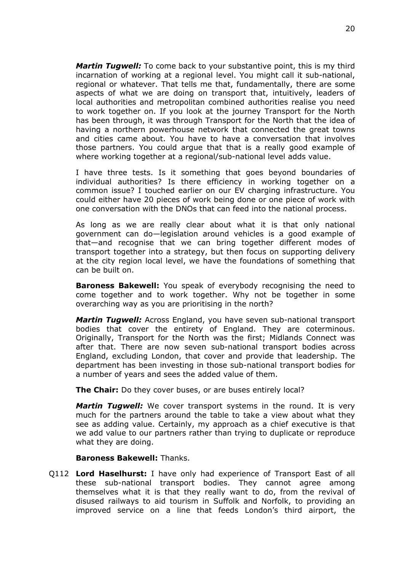*Martin Tugwell:* To come back to your substantive point, this is my third incarnation of working at a regional level. You might call it sub-national, regional or whatever. That tells me that, fundamentally, there are some aspects of what we are doing on transport that, intuitively, leaders of local authorities and metropolitan combined authorities realise you need to work together on. If you look at the journey Transport for the North has been through, it was through Transport for the North that the idea of having a northern powerhouse network that connected the great towns and cities came about. You have to have a conversation that involves those partners. You could argue that that is a really good example of where working together at a regional/sub-national level adds value.

I have three tests. Is it something that goes beyond boundaries of individual authorities? Is there efficiency in working together on a common issue? I touched earlier on our EV charging infrastructure. You could either have 20 pieces of work being done or one piece of work with one conversation with the DNOs that can feed into the national process.

As long as we are really clear about what it is that only national government can do—legislation around vehicles is a good example of that—and recognise that we can bring together different modes of transport together into a strategy, but then focus on supporting delivery at the city region local level, we have the foundations of something that can be built on.

**Baroness Bakewell:** You speak of everybody recognising the need to come together and to work together. Why not be together in some overarching way as you are prioritising in the north?

*Martin Tugwell:* Across England, you have seven sub-national transport bodies that cover the entirety of England. They are coterminous. Originally, Transport for the North was the first; Midlands Connect was after that. There are now seven sub-national transport bodies across England, excluding London, that cover and provide that leadership. The department has been investing in those sub-national transport bodies for a number of years and sees the added value of them.

**The Chair:** Do they cover buses, or are buses entirely local?

*Martin Tugwell:* We cover transport systems in the round. It is very much for the partners around the table to take a view about what they see as adding value. Certainly, my approach as a chief executive is that we add value to our partners rather than trying to duplicate or reproduce what they are doing.

**Baroness Bakewell:** Thanks.

Q112 **Lord Haselhurst:** I have only had experience of Transport East of all these sub-national transport bodies. They cannot agree among themselves what it is that they really want to do, from the revival of disused railways to aid tourism in Suffolk and Norfolk, to providing an improved service on a line that feeds London's third airport, the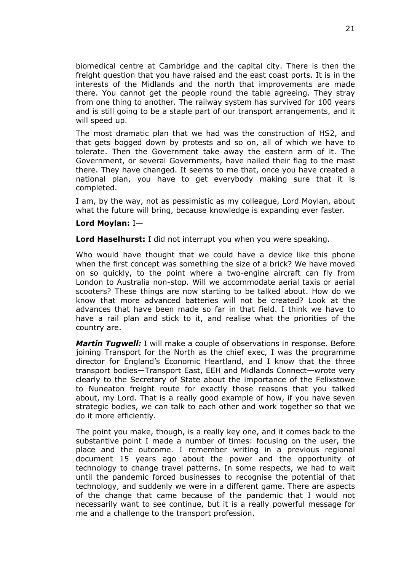biomedical centre at Cambridge and the capital city. There is then the freight question that you have raised and the east coast ports. It is in the interests of the Midlands and the north that improvements are made there. You cannot get the people round the table agreeing. They stray from one thing to another. The railway system has survived for 100 years and is still going to be a staple part of our transport arrangements, and it will speed up.

The most dramatic plan that we had was the construction of HS2, and that gets bogged down by protests and so on, all of which we have to tolerate. Then the Government take away the eastern arm of it. The Government, or several Governments, have nailed their flag to the mast there. They have changed. It seems to me that, once you have created a national plan, you have to get everybody making sure that it is completed.

I am, by the way, not as pessimistic as my colleague, Lord Moylan, about what the future will bring, because knowledge is expanding ever faster.

#### **Lord Moylan:** I—

**Lord Haselhurst:** I did not interrupt you when you were speaking.

Who would have thought that we could have a device like this phone when the first concept was something the size of a brick? We have moved on so quickly, to the point where a two-engine aircraft can fly from London to Australia non-stop. Will we accommodate aerial taxis or aerial scooters? These things are now starting to be talked about. How do we know that more advanced batteries will not be created? Look at the advances that have been made so far in that field. I think we have to have a rail plan and stick to it, and realise what the priorities of the country are.

*Martin Tugwell:* I will make a couple of observations in response. Before joining Transport for the North as the chief exec, I was the programme director for England's Economic Heartland, and I know that the three transport bodies—Transport East, EEH and Midlands Connect—wrote very clearly to the Secretary of State about the importance of the Felixstowe to Nuneaton freight route for exactly those reasons that you talked about, my Lord. That is a really good example of how, if you have seven strategic bodies, we can talk to each other and work together so that we do it more efficiently.

The point you make, though, is a really key one, and it comes back to the substantive point I made a number of times: focusing on the user, the place and the outcome. I remember writing in a previous regional document 15 years ago about the power and the opportunity of technology to change travel patterns. In some respects, we had to wait until the pandemic forced businesses to recognise the potential of that technology, and suddenly we were in a different game. There are aspects of the change that came because of the pandemic that I would not necessarily want to see continue, but it is a really powerful message for me and a challenge to the transport profession.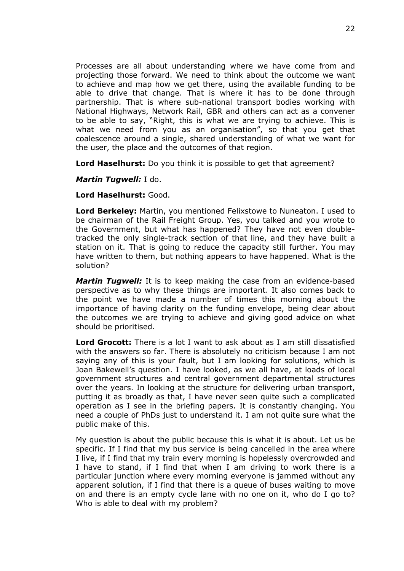Processes are all about understanding where we have come from and projecting those forward. We need to think about the outcome we want to achieve and map how we get there, using the available funding to be able to drive that change. That is where it has to be done through partnership. That is where sub-national transport bodies working with National Highways, Network Rail, GBR and others can act as a convener to be able to say, "Right, this is what we are trying to achieve. This is what we need from you as an organisation", so that you get that coalescence around a single, shared understanding of what we want for the user, the place and the outcomes of that region.

**Lord Haselhurst:** Do you think it is possible to get that agreement?

*Martin Tugwell:* I do.

**Lord Haselhurst:** Good.

**Lord Berkeley:** Martin, you mentioned Felixstowe to Nuneaton. I used to be chairman of the Rail Freight Group. Yes, you talked and you wrote to the Government, but what has happened? They have not even doubletracked the only single-track section of that line, and they have built a station on it. That is going to reduce the capacity still further. You may have written to them, but nothing appears to have happened. What is the solution?

*Martin Tugwell:* It is to keep making the case from an evidence-based perspective as to why these things are important. It also comes back to the point we have made a number of times this morning about the importance of having clarity on the funding envelope, being clear about the outcomes we are trying to achieve and giving good advice on what should be prioritised.

**Lord Grocott:** There is a lot I want to ask about as I am still dissatisfied with the answers so far. There is absolutely no criticism because I am not saying any of this is your fault, but I am looking for solutions, which is Joan Bakewell's question. I have looked, as we all have, at loads of local government structures and central government departmental structures over the years. In looking at the structure for delivering urban transport, putting it as broadly as that, I have never seen quite such a complicated operation as I see in the briefing papers. It is constantly changing. You need a couple of PhDs just to understand it. I am not quite sure what the public make of this.

My question is about the public because this is what it is about. Let us be specific. If I find that my bus service is being cancelled in the area where I live, if I find that my train every morning is hopelessly overcrowded and I have to stand, if I find that when I am driving to work there is a particular junction where every morning everyone is jammed without any apparent solution, if I find that there is a queue of buses waiting to move on and there is an empty cycle lane with no one on it, who do I go to? Who is able to deal with my problem?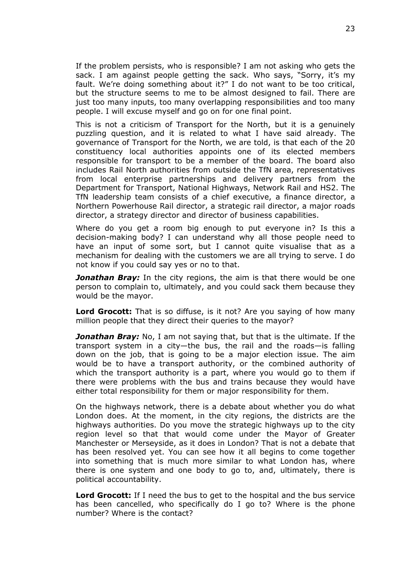If the problem persists, who is responsible? I am not asking who gets the sack. I am against people getting the sack. Who says, "Sorry, it's my fault. We're doing something about it?" I do not want to be too critical, but the structure seems to me to be almost designed to fail. There are just too many inputs, too many overlapping responsibilities and too many people. I will excuse myself and go on for one final point.

This is not a criticism of Transport for the North, but it is a genuinely puzzling question, and it is related to what I have said already. The governance of Transport for the North, we are told, is that each of the 20 constituency local authorities appoints one of its elected members responsible for transport to be a member of the board. The board also includes Rail North authorities from outside the TfN area, representatives from local enterprise partnerships and delivery partners from the Department for Transport, National Highways, Network Rail and HS2. The TfN leadership team consists of a chief executive, a finance director, a Northern Powerhouse Rail director, a strategic rail director, a major roads director, a strategy director and director of business capabilities.

Where do you get a room big enough to put everyone in? Is this a decision-making body? I can understand why all those people need to have an input of some sort, but I cannot quite visualise that as a mechanism for dealing with the customers we are all trying to serve. I do not know if you could say yes or no to that.

**Jonathan Bray:** In the city regions, the aim is that there would be one person to complain to, ultimately, and you could sack them because they would be the mayor.

**Lord Grocott:** That is so diffuse, is it not? Are you saying of how many million people that they direct their queries to the mayor?

*Jonathan Bray:* No, I am not saying that, but that is the ultimate. If the transport system in a city—the bus, the rail and the roads—is falling down on the job, that is going to be a major election issue. The aim would be to have a transport authority, or the combined authority of which the transport authority is a part, where you would go to them if there were problems with the bus and trains because they would have either total responsibility for them or major responsibility for them.

On the highways network, there is a debate about whether you do what London does. At the moment, in the city regions, the districts are the highways authorities. Do you move the strategic highways up to the city region level so that that would come under the Mayor of Greater Manchester or Merseyside, as it does in London? That is not a debate that has been resolved yet. You can see how it all begins to come together into something that is much more similar to what London has, where there is one system and one body to go to, and, ultimately, there is political accountability.

**Lord Grocott:** If I need the bus to get to the hospital and the bus service has been cancelled, who specifically do I go to? Where is the phone number? Where is the contact?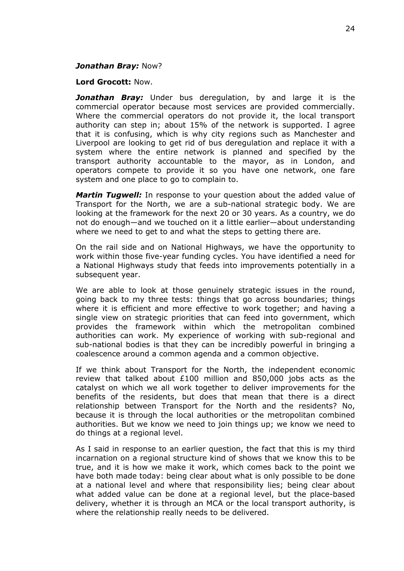#### *Jonathan Bray:* Now?

#### **Lord Grocott:** Now.

**Jonathan Bray:** Under bus deregulation, by and large it is the commercial operator because most services are provided commercially. Where the commercial operators do not provide it, the local transport authority can step in; about 15% of the network is supported. I agree that it is confusing, which is why city regions such as Manchester and Liverpool are looking to get rid of bus deregulation and replace it with a system where the entire network is planned and specified by the transport authority accountable to the mayor, as in London, and operators compete to provide it so you have one network, one fare system and one place to go to complain to.

*Martin Tugwell:* In response to your question about the added value of Transport for the North, we are a sub-national strategic body. We are looking at the framework for the next 20 or 30 years. As a country, we do not do enough—and we touched on it a little earlier—about understanding where we need to get to and what the steps to getting there are.

On the rail side and on National Highways, we have the opportunity to work within those five-year funding cycles. You have identified a need for a National Highways study that feeds into improvements potentially in a subsequent year.

We are able to look at those genuinely strategic issues in the round, going back to my three tests: things that go across boundaries; things where it is efficient and more effective to work together; and having a single view on strategic priorities that can feed into government, which provides the framework within which the metropolitan combined authorities can work. My experience of working with sub-regional and sub-national bodies is that they can be incredibly powerful in bringing a coalescence around a common agenda and a common objective.

If we think about Transport for the North, the independent economic review that talked about £100 million and 850,000 jobs acts as the catalyst on which we all work together to deliver improvements for the benefits of the residents, but does that mean that there is a direct relationship between Transport for the North and the residents? No, because it is through the local authorities or the metropolitan combined authorities. But we know we need to join things up; we know we need to do things at a regional level.

As I said in response to an earlier question, the fact that this is my third incarnation on a regional structure kind of shows that we know this to be true, and it is how we make it work, which comes back to the point we have both made today: being clear about what is only possible to be done at a national level and where that responsibility lies; being clear about what added value can be done at a regional level, but the place-based delivery, whether it is through an MCA or the local transport authority, is where the relationship really needs to be delivered.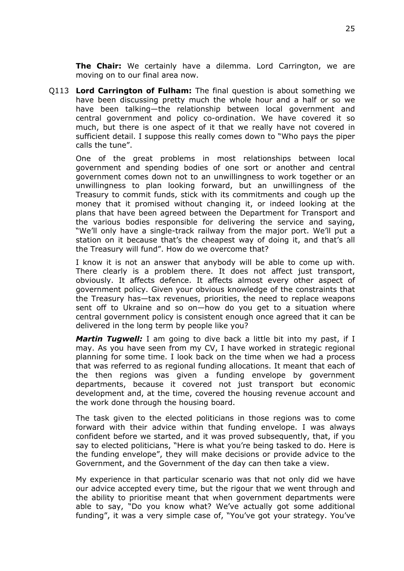**The Chair:** We certainly have a dilemma. Lord Carrington, we are moving on to our final area now.

Q113 **Lord Carrington of Fulham:** The final question is about something we have been discussing pretty much the whole hour and a half or so we have been talking—the relationship between local government and central government and policy co-ordination. We have covered it so much, but there is one aspect of it that we really have not covered in sufficient detail. I suppose this really comes down to "Who pays the piper calls the tune".

One of the great problems in most relationships between local government and spending bodies of one sort or another and central government comes down not to an unwillingness to work together or an unwillingness to plan looking forward, but an unwillingness of the Treasury to commit funds, stick with its commitments and cough up the money that it promised without changing it, or indeed looking at the plans that have been agreed between the Department for Transport and the various bodies responsible for delivering the service and saying, "We'll only have a single-track railway from the major port. We'll put a station on it because that's the cheapest way of doing it, and that's all the Treasury will fund". How do we overcome that?

I know it is not an answer that anybody will be able to come up with. There clearly is a problem there. It does not affect just transport, obviously. It affects defence. It affects almost every other aspect of government policy. Given your obvious knowledge of the constraints that the Treasury has—tax revenues, priorities, the need to replace weapons sent off to Ukraine and so on—how do you get to a situation where central government policy is consistent enough once agreed that it can be delivered in the long term by people like you?

*Martin Tugwell:* I am going to dive back a little bit into my past, if I may. As you have seen from my CV, I have worked in strategic regional planning for some time. I look back on the time when we had a process that was referred to as regional funding allocations. It meant that each of the then regions was given a funding envelope by government departments, because it covered not just transport but economic development and, at the time, covered the housing revenue account and the work done through the housing board.

The task given to the elected politicians in those regions was to come forward with their advice within that funding envelope. I was always confident before we started, and it was proved subsequently, that, if you say to elected politicians, "Here is what you're being tasked to do. Here is the funding envelope", they will make decisions or provide advice to the Government, and the Government of the day can then take a view.

My experience in that particular scenario was that not only did we have our advice accepted every time, but the rigour that we went through and the ability to prioritise meant that when government departments were able to say, "Do you know what? We've actually got some additional funding", it was a very simple case of, "You've got your strategy. You've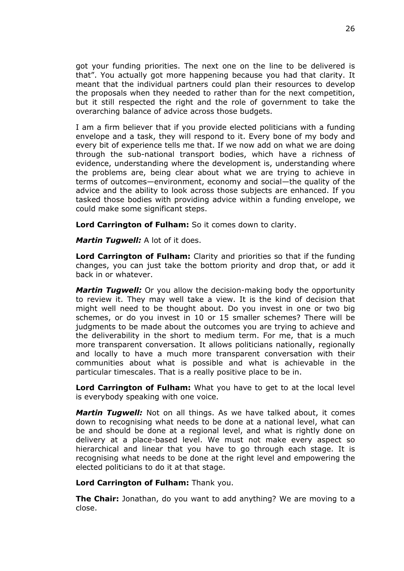got your funding priorities. The next one on the line to be delivered is that". You actually got more happening because you had that clarity. It meant that the individual partners could plan their resources to develop the proposals when they needed to rather than for the next competition, but it still respected the right and the role of government to take the overarching balance of advice across those budgets.

I am a firm believer that if you provide elected politicians with a funding envelope and a task, they will respond to it. Every bone of my body and every bit of experience tells me that. If we now add on what we are doing through the sub-national transport bodies, which have a richness of evidence, understanding where the development is, understanding where the problems are, being clear about what we are trying to achieve in terms of outcomes—environment, economy and social—the quality of the advice and the ability to look across those subjects are enhanced. If you tasked those bodies with providing advice within a funding envelope, we could make some significant steps.

**Lord Carrington of Fulham:** So it comes down to clarity.

*Martin Tugwell:* A lot of it does.

**Lord Carrington of Fulham:** Clarity and priorities so that if the funding changes, you can just take the bottom priority and drop that, or add it back in or whatever.

*Martin Tugwell:* Or you allow the decision-making body the opportunity to review it. They may well take a view. It is the kind of decision that might well need to be thought about. Do you invest in one or two big schemes, or do you invest in 10 or 15 smaller schemes? There will be judgments to be made about the outcomes you are trying to achieve and the deliverability in the short to medium term. For me, that is a much more transparent conversation. It allows politicians nationally, regionally and locally to have a much more transparent conversation with their communities about what is possible and what is achievable in the particular timescales. That is a really positive place to be in.

**Lord Carrington of Fulham:** What you have to get to at the local level is everybody speaking with one voice.

*Martin Tugwell:* Not on all things. As we have talked about, it comes down to recognising what needs to be done at a national level, what can be and should be done at a regional level, and what is rightly done on delivery at a place-based level. We must not make every aspect so hierarchical and linear that you have to go through each stage. It is recognising what needs to be done at the right level and empowering the elected politicians to do it at that stage.

**Lord Carrington of Fulham:** Thank you.

**The Chair:** Jonathan, do you want to add anything? We are moving to a close.